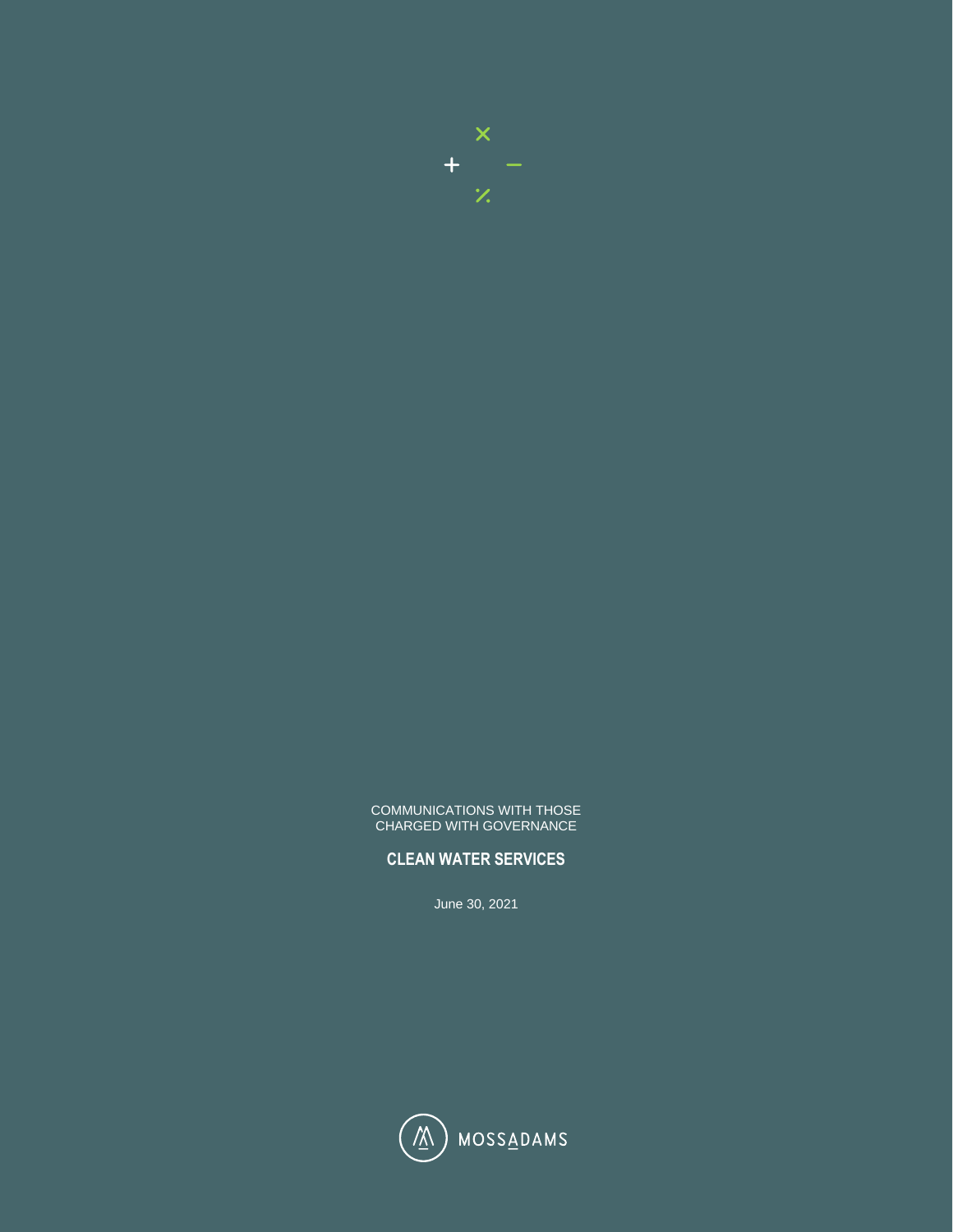

#### COMMUNICATIONS WITH THOSE CHARGED WITH GOVERNANCE

# **CLEAN WATER SERVICES**

June 30, 2021

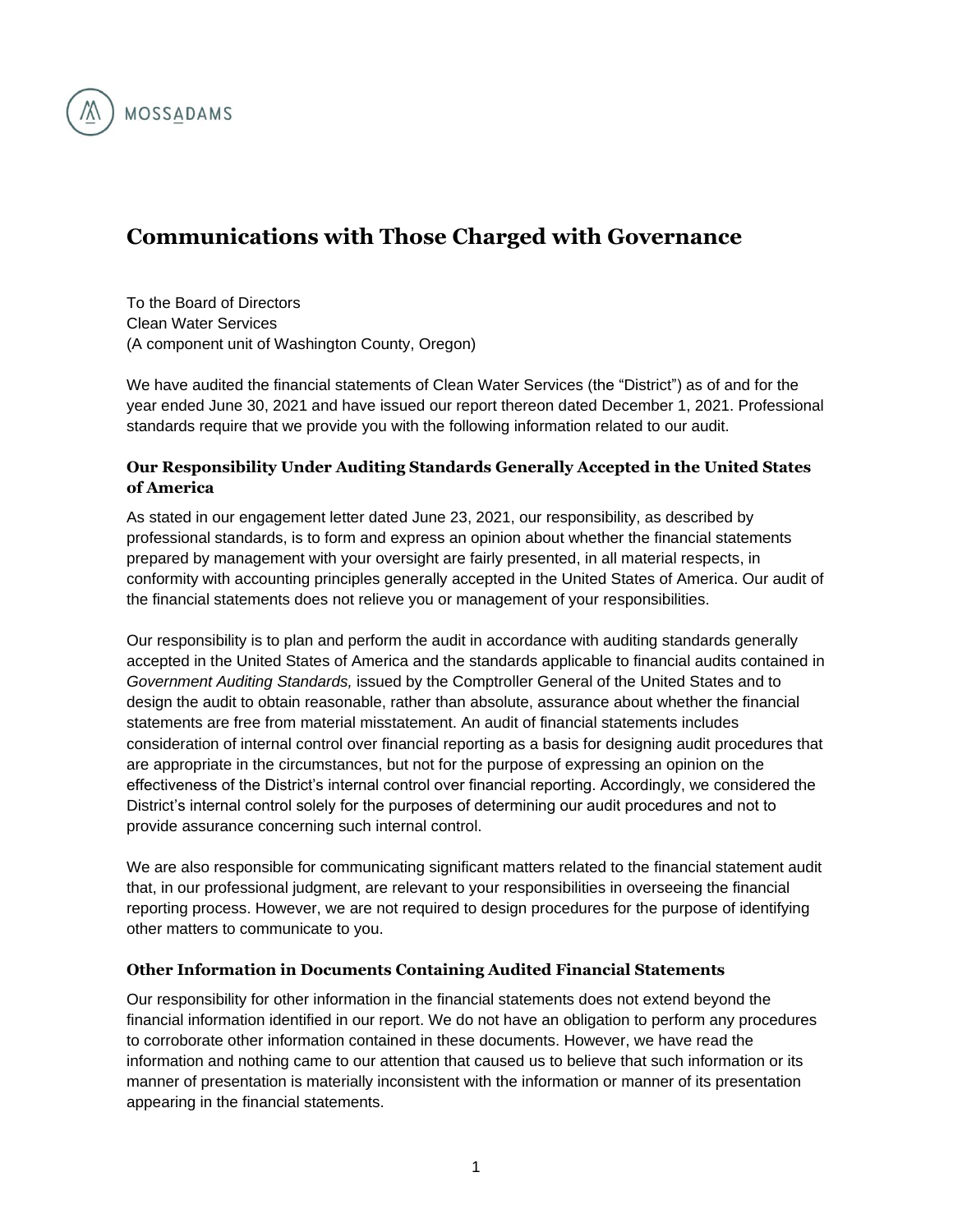

# **Communications with Those Charged with Governance**

To the Board of Directors Clean Water Services (A component unit of Washington County, Oregon)

We have audited the financial statements of Clean Water Services (the "District") as of and for the year ended June 30, 2021 and have issued our report thereon dated December 1, 2021. Professional standards require that we provide you with the following information related to our audit.

## **Our Responsibility Under Auditing Standards Generally Accepted in the United States of America**

As stated in our engagement letter dated June 23, 2021, our responsibility, as described by professional standards, is to form and express an opinion about whether the financial statements prepared by management with your oversight are fairly presented, in all material respects, in conformity with accounting principles generally accepted in the United States of America. Our audit of the financial statements does not relieve you or management of your responsibilities.

Our responsibility is to plan and perform the audit in accordance with auditing standards generally accepted in the United States of America and the standards applicable to financial audits contained in *Government Auditing Standards,* issued by the Comptroller General of the United States and to design the audit to obtain reasonable, rather than absolute, assurance about whether the financial statements are free from material misstatement. An audit of financial statements includes consideration of internal control over financial reporting as a basis for designing audit procedures that are appropriate in the circumstances, but not for the purpose of expressing an opinion on the effectiveness of the District's internal control over financial reporting. Accordingly, we considered the District's internal control solely for the purposes of determining our audit procedures and not to provide assurance concerning such internal control.

We are also responsible for communicating significant matters related to the financial statement audit that, in our professional judgment, are relevant to your responsibilities in overseeing the financial reporting process. However, we are not required to design procedures for the purpose of identifying other matters to communicate to you.

#### **Other Information in Documents Containing Audited Financial Statements**

Our responsibility for other information in the financial statements does not extend beyond the financial information identified in our report. We do not have an obligation to perform any procedures to corroborate other information contained in these documents. However, we have read the information and nothing came to our attention that caused us to believe that such information or its manner of presentation is materially inconsistent with the information or manner of its presentation appearing in the financial statements.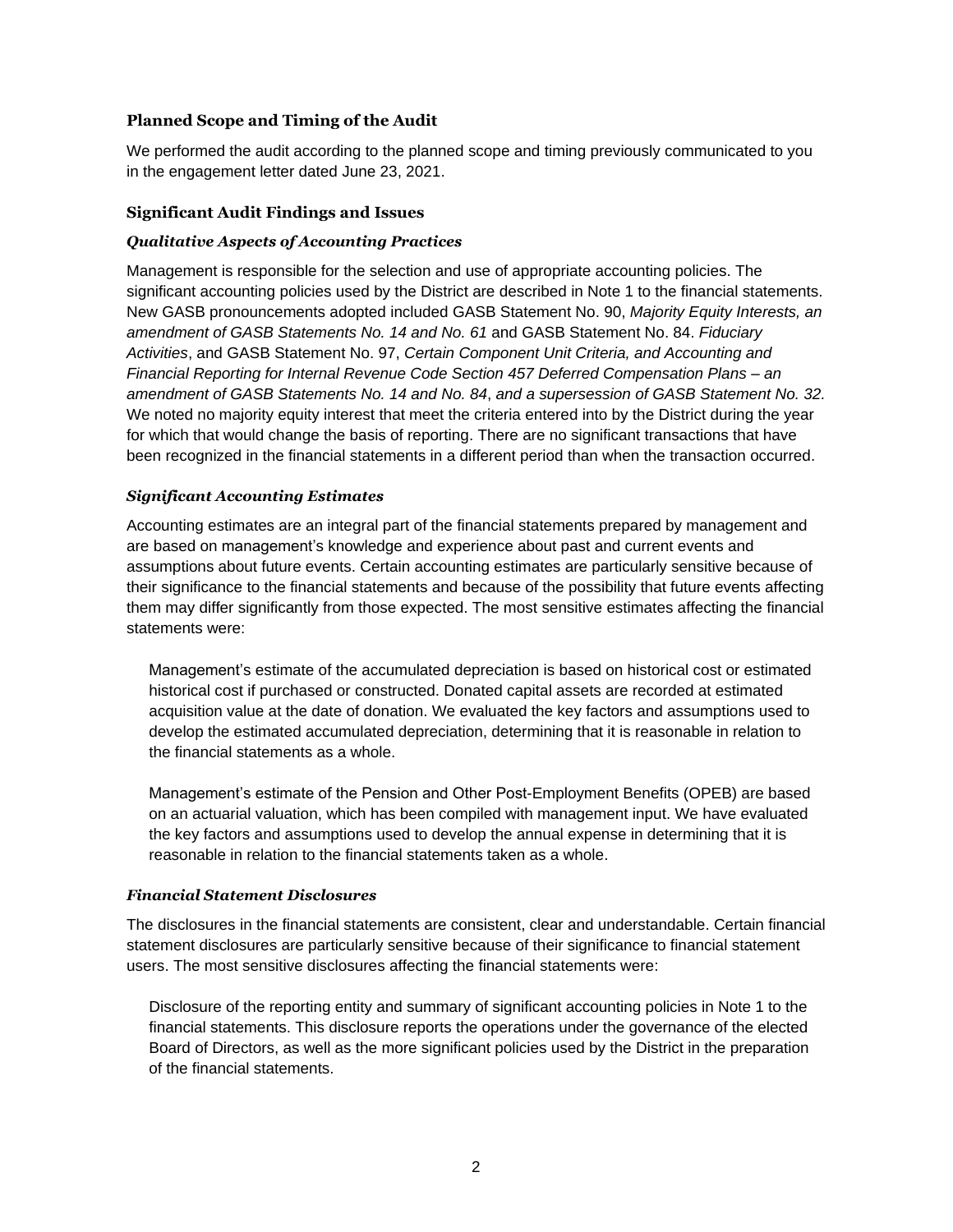## **Planned Scope and Timing of the Audit**

We performed the audit according to the planned scope and timing previously communicated to you in the engagement letter dated June 23, 2021.

#### **Significant Audit Findings and Issues**

#### *Qualitative Aspects of Accounting Practices*

Management is responsible for the selection and use of appropriate accounting policies. The significant accounting policies used by the District are described in Note 1 to the financial statements. New GASB pronouncements adopted included GASB Statement No. 90, *Majority Equity Interests, an amendment of GASB Statements No. 14 and No. 61* and GASB Statement No. 84. *Fiduciary Activities*, and GASB Statement No. 97, *Certain Component Unit Criteria, and Accounting and Financial Reporting for Internal Revenue Code Section 457 Deferred Compensation Plans – an amendment of GASB Statements No. 14 and No. 84*, *and a supersession of GASB Statement No. 32.* We noted no majority equity interest that meet the criteria entered into by the District during the year for which that would change the basis of reporting. There are no significant transactions that have been recognized in the financial statements in a different period than when the transaction occurred.

#### *Significant Accounting Estimates*

Accounting estimates are an integral part of the financial statements prepared by management and are based on management's knowledge and experience about past and current events and assumptions about future events. Certain accounting estimates are particularly sensitive because of their significance to the financial statements and because of the possibility that future events affecting them may differ significantly from those expected. The most sensitive estimates affecting the financial statements were:

Management's estimate of the accumulated depreciation is based on historical cost or estimated historical cost if purchased or constructed. Donated capital assets are recorded at estimated acquisition value at the date of donation. We evaluated the key factors and assumptions used to develop the estimated accumulated depreciation, determining that it is reasonable in relation to the financial statements as a whole.

Management's estimate of the Pension and Other Post-Employment Benefits (OPEB) are based on an actuarial valuation, which has been compiled with management input. We have evaluated the key factors and assumptions used to develop the annual expense in determining that it is reasonable in relation to the financial statements taken as a whole.

#### *Financial Statement Disclosures*

The disclosures in the financial statements are consistent, clear and understandable. Certain financial statement disclosures are particularly sensitive because of their significance to financial statement users. The most sensitive disclosures affecting the financial statements were:

Disclosure of the reporting entity and summary of significant accounting policies in Note 1 to the financial statements. This disclosure reports the operations under the governance of the elected Board of Directors, as well as the more significant policies used by the District in the preparation of the financial statements.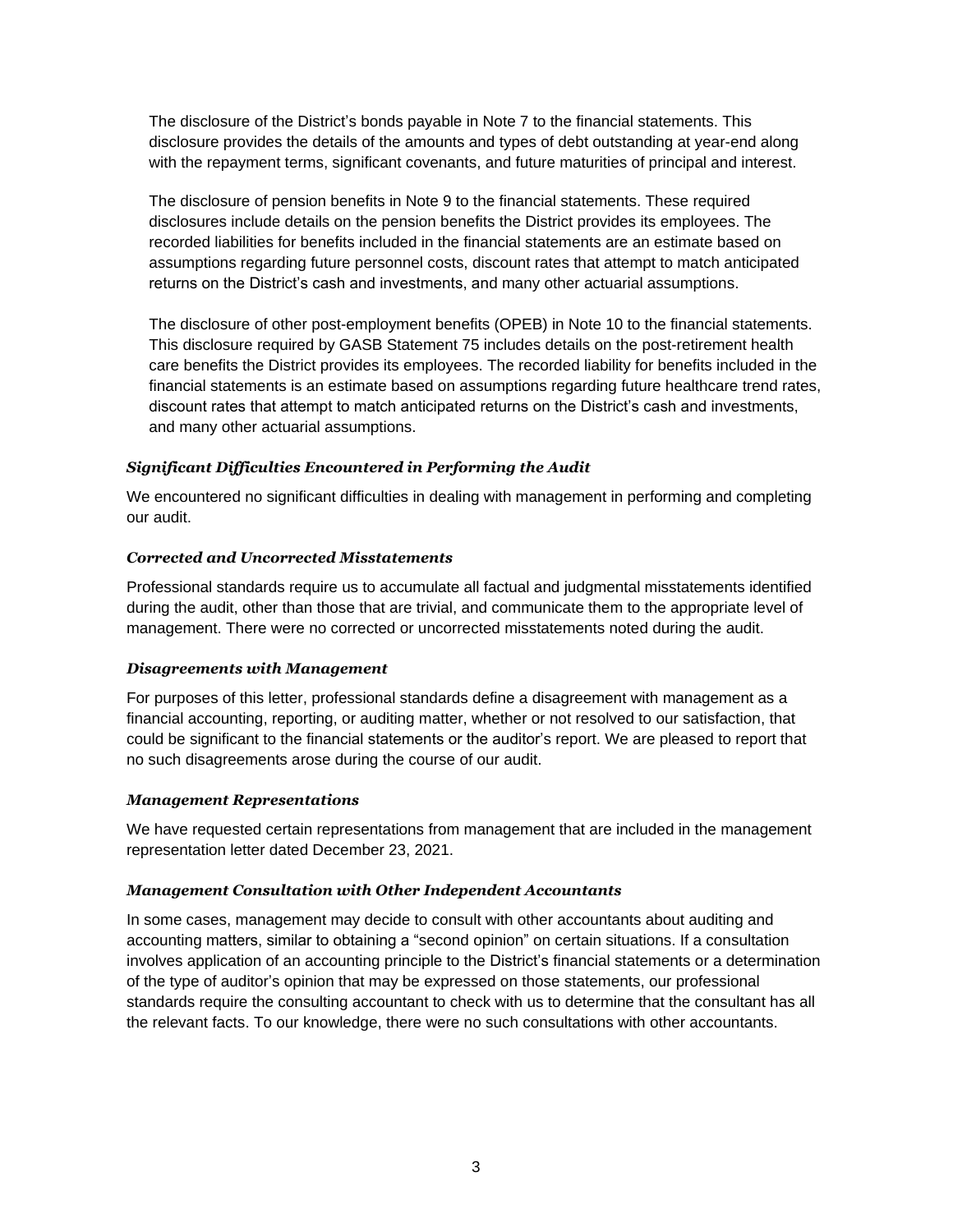The disclosure of the District's bonds payable in Note 7 to the financial statements. This disclosure provides the details of the amounts and types of debt outstanding at year-end along with the repayment terms, significant covenants, and future maturities of principal and interest.

The disclosure of pension benefits in Note 9 to the financial statements. These required disclosures include details on the pension benefits the District provides its employees. The recorded liabilities for benefits included in the financial statements are an estimate based on assumptions regarding future personnel costs, discount rates that attempt to match anticipated returns on the District's cash and investments, and many other actuarial assumptions.

The disclosure of other post-employment benefits (OPEB) in Note 10 to the financial statements. This disclosure required by GASB Statement 75 includes details on the post-retirement health care benefits the District provides its employees. The recorded liability for benefits included in the financial statements is an estimate based on assumptions regarding future healthcare trend rates, discount rates that attempt to match anticipated returns on the District's cash and investments, and many other actuarial assumptions.

#### *Significant Difficulties Encountered in Performing the Audit*

We encountered no significant difficulties in dealing with management in performing and completing our audit.

#### *Corrected and Uncorrected Misstatements*

Professional standards require us to accumulate all factual and judgmental misstatements identified during the audit, other than those that are trivial, and communicate them to the appropriate level of management. There were no corrected or uncorrected misstatements noted during the audit.

#### *Disagreements with Management*

For purposes of this letter, professional standards define a disagreement with management as a financial accounting, reporting, or auditing matter, whether or not resolved to our satisfaction, that could be significant to the financial statements or the auditor's report. We are pleased to report that no such disagreements arose during the course of our audit.

#### *Management Representations*

We have requested certain representations from management that are included in the management representation letter dated December 23, 2021.

#### *Management Consultation with Other Independent Accountants*

In some cases, management may decide to consult with other accountants about auditing and accounting matters, similar to obtaining a "second opinion" on certain situations. If a consultation involves application of an accounting principle to the District's financial statements or a determination of the type of auditor's opinion that may be expressed on those statements, our professional standards require the consulting accountant to check with us to determine that the consultant has all the relevant facts. To our knowledge, there were no such consultations with other accountants.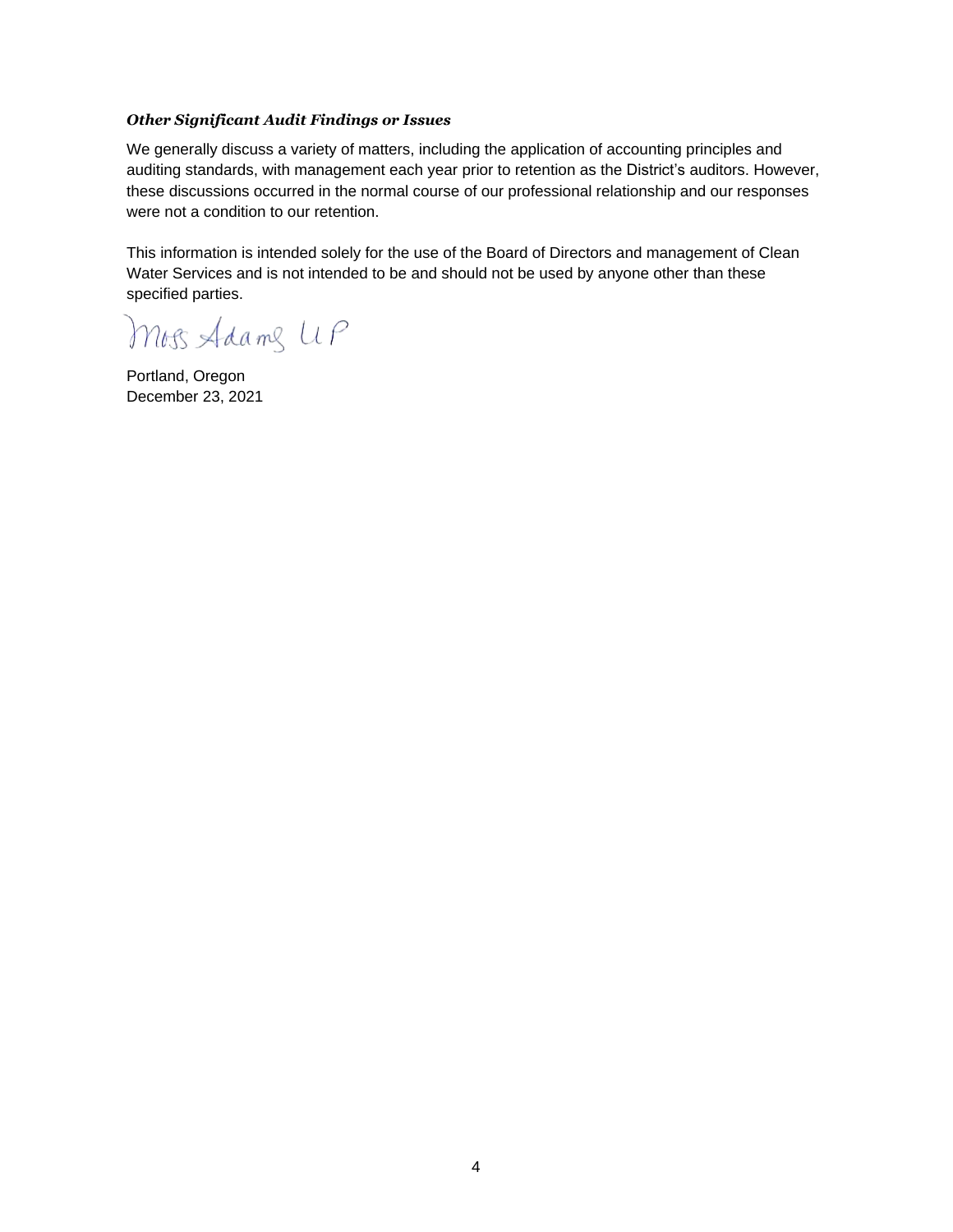#### *Other Significant Audit Findings or Issues*

We generally discuss a variety of matters, including the application of accounting principles and auditing standards, with management each year prior to retention as the District's auditors. However, these discussions occurred in the normal course of our professional relationship and our responses were not a condition to our retention.

This information is intended solely for the use of the Board of Directors and management of Clean Water Services and is not intended to be and should not be used by anyone other than these specified parties.

Moss Adams UP

Portland, Oregon December 23, 2021